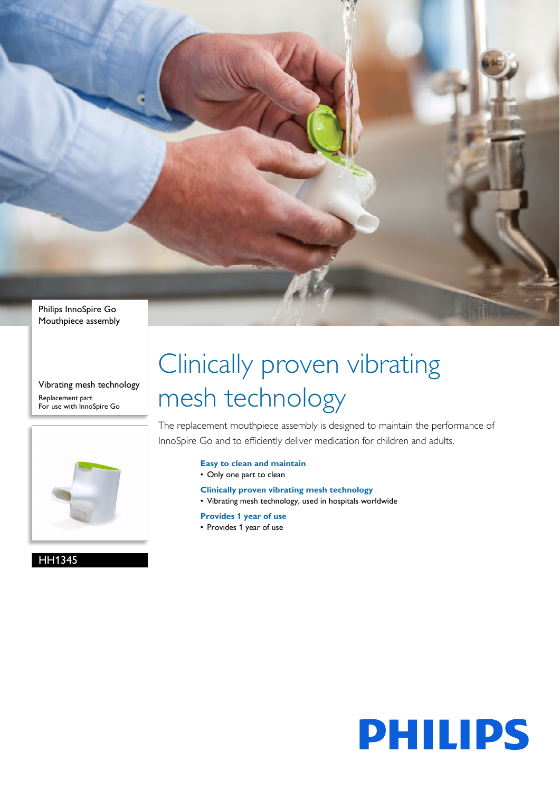

Vibrating mesh technology Replacement part For use with InnoSpire Go



HH1345

# Clinically proven vibrating mesh technology

The replacement mouthpiece assembly is designed to maintain the performance of InnoSpire Go and to efficiently deliver medication for children and adults.

- **Easy to clean and maintain**
- Only one part to clean
- **Clinically proven vibrating mesh technology**
- Vibrating mesh technology, used in hospitals worldwide
- **Provides 1 year of use**
- Provides 1 year of use